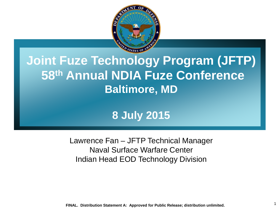

### **Joint Fuze Technology Program (JFTP) 58th Annual NDIA Fuze Conference Baltimore, MD**

### **8 July 2015**

Lawrence Fan – JFTP Technical Manager Naval Surface Warfare Center Indian Head EOD Technology Division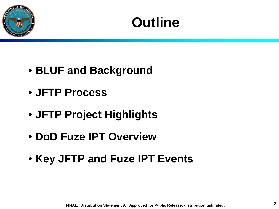

## **Outline**

- **BLUF and Background**
- **JFTP Process**
- **JFTP Project Highlights**
- **DoD Fuze IPT Overview**
- **Key JFTP and Fuze IPT Events**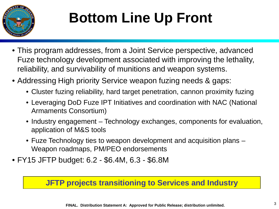

# **Bottom Line Up Front**

- This program addresses, from a Joint Service perspective, advanced Fuze technology development associated with improving the lethality, reliability, and survivability of munitions and weapon systems.
- Addressing High priority Service weapon fuzing needs & gaps:
	- Cluster fuzing reliability, hard target penetration, cannon proximity fuzing
	- Leveraging DoD Fuze IPT Initiatives and coordination with NAC (National Armaments Consortium)
	- Industry engagement Technology exchanges, components for evaluation, application of M&S tools
	- Fuze Technology ties to weapon development and acquisition plans Weapon roadmaps, PM/PEO endorsements
- FY15 JFTP budget: 6.2 \$6.4M, 6.3 \$6.8M

#### **JFTP projects transitioning to Services and Industry**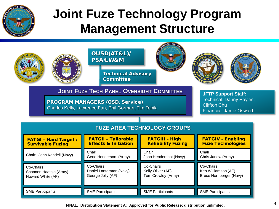

### **Joint Fuze Technology Program Management Structure**

**CONTRACTOR** 

|                                                                                | <b>OUSD(AT&amp;L)/</b><br><b>PSA/LW&amp;M</b><br><b>Technical Advisory</b>                    |                                                      | BE                                                          |  |  |
|--------------------------------------------------------------------------------|-----------------------------------------------------------------------------------------------|------------------------------------------------------|-------------------------------------------------------------|--|--|
|                                                                                | <b>Committee</b>                                                                              |                                                      |                                                             |  |  |
| <b>JOINT FUZE TECH PANEL OVERSIGHT COMMITTEE</b><br><b>JFTP Support Staff:</b> |                                                                                               |                                                      |                                                             |  |  |
|                                                                                | <b>PROGRAM MANAGERS (OSD, Service)</b><br>Charles Kelly, Lawrence Fan, Phil Gorman, Tim Tobik |                                                      |                                                             |  |  |
|                                                                                |                                                                                               |                                                      |                                                             |  |  |
| <b>FUZE AREA TECHNOLOGY GROUPS</b>                                             |                                                                                               |                                                      |                                                             |  |  |
| <b>FATGI - Hard Target /</b><br><b>Survivable Fuzing</b>                       | <b>FATGII - Tailorable</b><br><b>Effects &amp; Initiation</b>                                 | <b>FATGIII - High</b><br><b>Reliability Fuzing</b>   | <b>FATGIV - Enabling</b><br><b>Fuze Technologies</b>        |  |  |
| Chair: John Kandell (Navy)                                                     | Chair<br>Gene Henderson (Army)                                                                | Chair<br>John Hendershot (Navy)                      | Chair<br>Chris Janow (Army)                                 |  |  |
| Co-Chairs<br>Shannon Haataja (Army)<br>Howard White (AF)                       | Co-Chairs<br>Daniel Lanterman (Navy)<br>George Jolly (AF)                                     | Co-Chairs<br>Kelly Oliver (AF)<br>Tom Crowley (Army) | Co-Chairs<br>Ken Williamson (AF)<br>Bruce Hornberger (Navy) |  |  |
| <b>SME Participants</b>                                                        | <b>SME Participants</b>                                                                       | <b>SME Participants</b>                              | <b>SME Participants</b>                                     |  |  |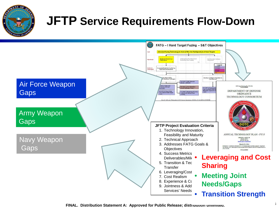

### **JFTP Service Requirements Flow-Down**

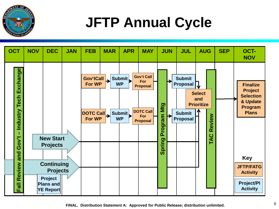

# **JFTP Annual Cycle**



<sup>6</sup> **FINAL. Distribution Statement A: Approved for Public Release; distribution unlimited.**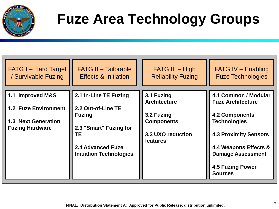

# **Fuze Area Technology Groups**

| <b>FATG I – Hard Target</b>                                                                             | <b>FATG II - Tailorable</b>                                                                                                                         | $FATG III - High$                                                                                     | <b>FATG IV - Enabling</b>                                                                                                                                                                                                          |
|---------------------------------------------------------------------------------------------------------|-----------------------------------------------------------------------------------------------------------------------------------------------------|-------------------------------------------------------------------------------------------------------|------------------------------------------------------------------------------------------------------------------------------------------------------------------------------------------------------------------------------------|
| / Survivable Fuzing                                                                                     | <b>Effects &amp; Initiation</b>                                                                                                                     | <b>Reliability Fuzing</b>                                                                             | <b>Fuze Technologies</b>                                                                                                                                                                                                           |
| 1.1 Improved M&S<br><b>1.2 Fuze Environment</b><br><b>1.3 Next Generation</b><br><b>Fuzing Hardware</b> | 2.1 In-Line TE Fuzing<br>2.2 Out-of-Line TE<br><b>Fuzing</b><br>2.3 "Smart" Fuzing for<br>TЕ<br>2.4 Advanced Fuze<br><b>Initiation Technologies</b> | 3.1 Fuzing<br><b>Architecture</b><br>3.2 Fuzing<br><b>Components</b><br>3.3 UXO reduction<br>features | 4.1 Common / Modular<br><b>Fuze Architecture</b><br><b>4.2 Components</b><br><b>Technologies</b><br><b>4.3 Proximity Sensors</b><br>4.4 Weapons Effects &<br><b>Damage Assessment</b><br><b>4.5 Fuzing Power</b><br><b>Sources</b> |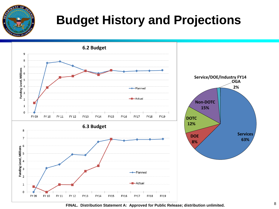

## **Budget History and Projections**



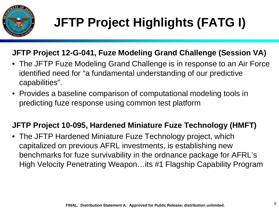

#### **JFTP Project 12-G-041, Fuze Modeling Grand Challenge (Session VA)**

- The JFTP Fuze Modeling Grand Challenge is in response to an Air Force identified need for "a fundamental understanding of our predictive capabilities".
- Provides a baseline comparison of computational modeling tools in predicting fuze response using common test platform

#### **JFTP Project 10-095, Hardened Miniature Fuze Technology (HMFT)**

• The JFTP Hardened Miniature Fuze Technology project, which capitalized on previous AFRL investments, is establishing new benchmarks for fuze survivability in the ordnance package for AFRL's High Velocity Penetrating Weapon…its #1 Flagship Capability Program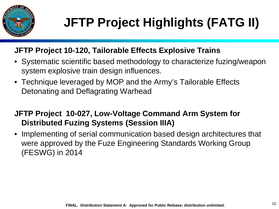

# **JFTP Project Highlights (FATG II)**

#### **JFTP Project 10-120, Tailorable Effects Explosive Trains**

- Systematic scientific based methodology to characterize fuzing/weapon system explosive train design influences.
- Technique leveraged by MOP and the Army's Tailorable Effects Detonating and Deflagrating Warhead

#### **JFTP Project 10-027, Low-Voltage Command Arm System for Distributed Fuzing Systems (Session IIIA)**

• Implementing of serial communication based design architectures that were approved by the Fuze Engineering Standards Working Group (FESWG) in 2014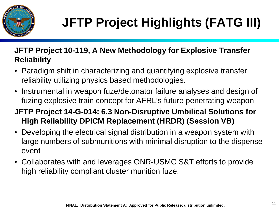

#### **JFTP Project 10-119, A New Methodology for Explosive Transfer Reliability**

- Paradigm shift in characterizing and quantifying explosive transfer reliability utilizing physics based methodologies.
- Instrumental in weapon fuze/detonator failure analyses and design of fuzing explosive train concept for AFRL's future penetrating weapon
- **JFTP Project 14-G-014: 6.3 Non-Disruptive Umbilical Solutions for High Reliability DPICM Replacement (HRDR) (Session VB)**
- Developing the electrical signal distribution in a weapon system with large numbers of submunitions with minimal disruption to the dispense event
- Collaborates with and leverages ONR-USMC S&T efforts to provide high reliability compliant cluster munition fuze.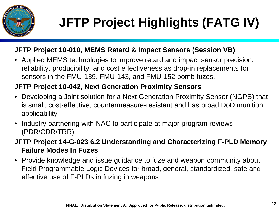

# **JFTP Project Highlights (FATG IV)**

#### **JFTP Project 10-010, MEMS Retard & Impact Sensors (Session VB)**

• Applied MEMS technologies to improve retard and impact sensor precision, reliability, producibility, and cost effectiveness as drop-in replacements for sensors in the FMU-139, FMU-143, and FMU-152 bomb fuzes.

#### **JFTP Project 10-042, Next Generation Proximity Sensors**

- Developing a Joint solution for a Next Generation Proximity Sensor (NGPS) that is small, cost-effective, countermeasure-resistant and has broad DoD munition applicability
- Industry partnering with NAC to participate at major program reviews (PDR/CDR/TRR)

**JFTP Project 14-G-023 6.2 Understanding and Characterizing F-PLD Memory Failure Modes In Fuzes** 

• Provide knowledge and issue guidance to fuze and weapon community about Field Programmable Logic Devices for broad, general, standardized, safe and effective use of F-PLDs in fuzing in weapons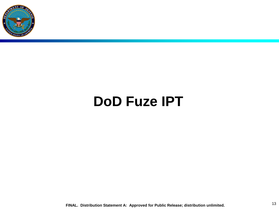

## **DoD Fuze IPT**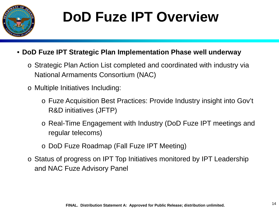

# **DoD Fuze IPT Overview**

- **DoD Fuze IPT Strategic Plan Implementation Phase well underway**
	- o Strategic Plan Action List completed and coordinated with industry via National Armaments Consortium (NAC)
	- o Multiple Initiatives Including:
		- o Fuze Acquisition Best Practices: Provide Industry insight into Gov't R&D initiatives (JFTP)
		- o Real-Time Engagement with Industry (DoD Fuze IPT meetings and regular telecoms)
		- o DoD Fuze Roadmap (Fall Fuze IPT Meeting)
	- o Status of progress on IPT Top Initiatives monitored by IPT Leadership and NAC Fuze Advisory Panel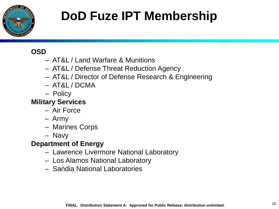

## **DoD Fuze IPT Membership**

#### **OSD**

- AT&L / Land Warfare & Munitions
- AT&L / Defense Threat Reduction Agency
- AT&L / Director of Defense Research & Engineering
- AT&L / DCMA
- Policy

#### **Military Services**

- Air Force
- Army
- Marines Corps
- Navy

#### **Department of Energy**

- Lawrence Livermore National Laboratory
- Los Alamos National Laboratory
- Sandia National Laboratories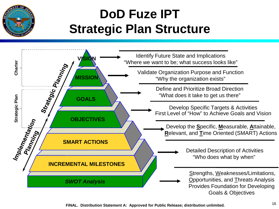

### **DoD Fuze IPT Strategic Plan Structure**

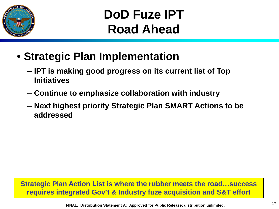

**DoD Fuze IPT Road Ahead**

- **Strategic Plan Implementation**
	- **IPT is making good progress on its current list of Top Initiatives**
	- **Continue to emphasize collaboration with industry**
	- **Next highest priority Strategic Plan SMART Actions to be addressed**

**Strategic Plan Action List is where the rubber meets the road…success requires integrated Gov't & Industry fuze acquisition and S&T effort**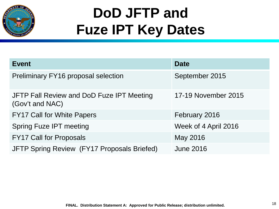

# **DoD JFTP and Fuze IPT Key Dates**

| <b>Event</b>                                                 | <b>Date</b>          |
|--------------------------------------------------------------|----------------------|
| <b>Preliminary FY16 proposal selection</b>                   | September 2015       |
| JFTP Fall Review and DoD Fuze IPT Meeting<br>(Gov't and NAC) | 17-19 November 2015  |
| <b>FY17 Call for White Papers</b>                            | February 2016        |
| <b>Spring Fuze IPT meeting</b>                               | Week of 4 April 2016 |
| <b>FY17 Call for Proposals</b>                               | May 2016             |
| JFTP Spring Review (FY17 Proposals Briefed)                  | <b>June 2016</b>     |